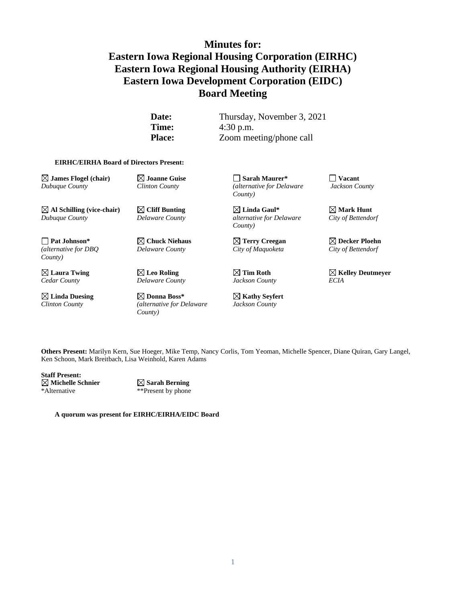# **Minutes for: Eastern Iowa Regional Housing Corporation (EIRHC) Eastern Iowa Regional Housing Authority (EIRHA) Eastern Iowa Development Corporation (EIDC) Board Meeting**

**Date:** Thursday, November 3, 2021 **Time:** 4:30 p.m. **Place:** Zoom meeting/phone call

#### **EIRHC/EIRHA Board of Directors Present:**

**James Flogel (chair) Joanne Guise Sarah Maurer\* Vacant** *Dubuque County Clinton County (alternative for Delaware Jackson County* 

 $\boxtimes$  Al Schilling (vice-chair)  $\boxtimes$  Cliff Bunting  $\boxtimes$  Linda Gaul\*  $\boxtimes$  Mark Hunt *Dubuque County Delaware County alternative for Delaware City of Bettendorf* 

**Pat Johnson\* Chuck Niehaus Terry Creegan Decker Ploehn** *(alternative for DBQ Delaware County City of Maquoketa City of Bettendorf County)*

*Cedar County Delaware County Jackson County ECIA*

**Linda Duesing Donna Boss\* Kathy Seyfert** *Clinton County (alternative for Delaware Jackson County County)*

*County)*

*County)*

**Laura Twing Leo Roling Tim Roth Kelley Deutmeyer**

**Others Present:** Marilyn Kern, Sue Hoeger, Mike Temp, Nancy Corlis, Tom Yeoman, Michelle Spencer, Diane Quiran, Gary Langel, Ken Schoon, Mark Breitbach, Lisa Weinhold, Karen Adams

**Staff Present: Michelle Schnier Sarah Berning** \*Alternative \*\*Present by phone

**A quorum was present for EIRHC/EIRHA/EIDC Board**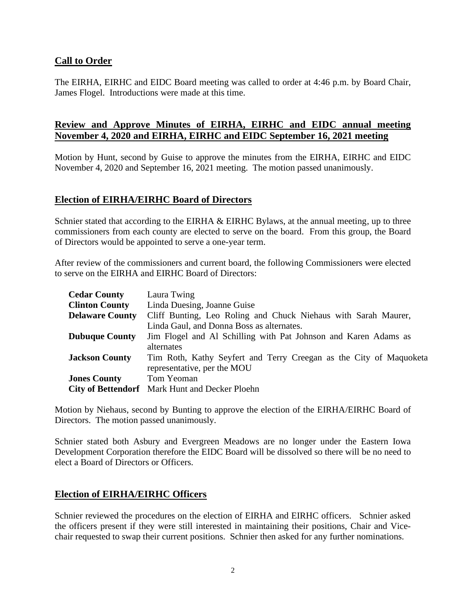#### **Call to Order**

The EIRHA, EIRHC and EIDC Board meeting was called to order at 4:46 p.m. by Board Chair, James Flogel. Introductions were made at this time.

## **Review and Approve Minutes of EIRHA, EIRHC and EIDC annual meeting November 4, 2020 and EIRHA, EIRHC and EIDC September 16, 2021 meeting**

Motion by Hunt, second by Guise to approve the minutes from the EIRHA, EIRHC and EIDC November 4, 2020 and September 16, 2021 meeting. The motion passed unanimously.

#### **Election of EIRHA/EIRHC Board of Directors**

Schnier stated that according to the EIRHA & EIRHC Bylaws, at the annual meeting, up to three commissioners from each county are elected to serve on the board. From this group, the Board of Directors would be appointed to serve a one-year term.

After review of the commissioners and current board, the following Commissioners were elected to serve on the EIRHA and EIRHC Board of Directors:

| <b>Cedar County</b>    | Laura Twing                                                        |
|------------------------|--------------------------------------------------------------------|
| <b>Clinton County</b>  | Linda Duesing, Joanne Guise                                        |
| <b>Delaware County</b> | Cliff Bunting, Leo Roling and Chuck Niehaus with Sarah Maurer,     |
|                        | Linda Gaul, and Donna Boss as alternates.                          |
| <b>Dubuque County</b>  | Jim Flogel and Al Schilling with Pat Johnson and Karen Adams as    |
|                        | alternates                                                         |
| <b>Jackson County</b>  | Tim Roth, Kathy Seyfert and Terry Creegan as the City of Maquoketa |
|                        | representative, per the MOU                                        |
| <b>Jones County</b>    | Tom Yeoman                                                         |
|                        | <b>City of Bettendorf</b> Mark Hunt and Decker Ploehn              |

Motion by Niehaus, second by Bunting to approve the election of the EIRHA/EIRHC Board of Directors. The motion passed unanimously.

Schnier stated both Asbury and Evergreen Meadows are no longer under the Eastern Iowa Development Corporation therefore the EIDC Board will be dissolved so there will be no need to elect a Board of Directors or Officers.

## **Election of EIRHA/EIRHC Officers**

Schnier reviewed the procedures on the election of EIRHA and EIRHC officers. Schnier asked the officers present if they were still interested in maintaining their positions, Chair and Vicechair requested to swap their current positions. Schnier then asked for any further nominations.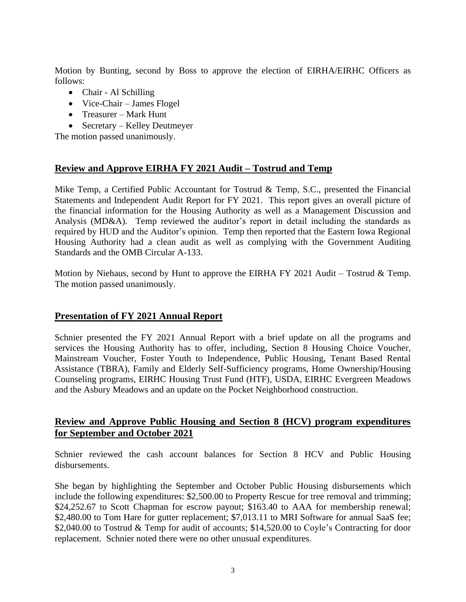Motion by Bunting, second by Boss to approve the election of EIRHA/EIRHC Officers as follows:

- Chair Al Schilling
- Vice-Chair James Flogel
- Treasurer Mark Hunt
- Secretary Kelley Deutmeyer

The motion passed unanimously.

## **Review and Approve EIRHA FY 2021 Audit – Tostrud and Temp**

Mike Temp, a Certified Public Accountant for Tostrud & Temp, S.C., presented the Financial Statements and Independent Audit Report for FY 2021. This report gives an overall picture of the financial information for the Housing Authority as well as a Management Discussion and Analysis (MD&A). Temp reviewed the auditor's report in detail including the standards as required by HUD and the Auditor's opinion. Temp then reported that the Eastern Iowa Regional Housing Authority had a clean audit as well as complying with the Government Auditing Standards and the OMB Circular A-133.

Motion by Niehaus, second by Hunt to approve the EIRHA FY 2021 Audit – Tostrud & Temp. The motion passed unanimously.

#### **Presentation of FY 2021 Annual Report**

Schnier presented the FY 2021 Annual Report with a brief update on all the programs and services the Housing Authority has to offer, including, Section 8 Housing Choice Voucher, Mainstream Voucher, Foster Youth to Independence, Public Housing, Tenant Based Rental Assistance (TBRA), Family and Elderly Self-Sufficiency programs, Home Ownership/Housing Counseling programs, EIRHC Housing Trust Fund (HTF), USDA, EIRHC Evergreen Meadows and the Asbury Meadows and an update on the Pocket Neighborhood construction.

#### **Review and Approve Public Housing and Section 8 (HCV) program expenditures for September and October 2021**

Schnier reviewed the cash account balances for Section 8 HCV and Public Housing disbursements.

She began by highlighting the September and October Public Housing disbursements which include the following expenditures: \$2,500.00 to Property Rescue for tree removal and trimming; \$24,252.67 to Scott Chapman for escrow payout; \$163.40 to AAA for membership renewal; \$2,480.00 to Tom Hare for gutter replacement; \$7,013.11 to MRI Software for annual SaaS fee; \$2,040.00 to Tostrud & Temp for audit of accounts; \$14,520.00 to Coyle's Contracting for door replacement. Schnier noted there were no other unusual expenditures.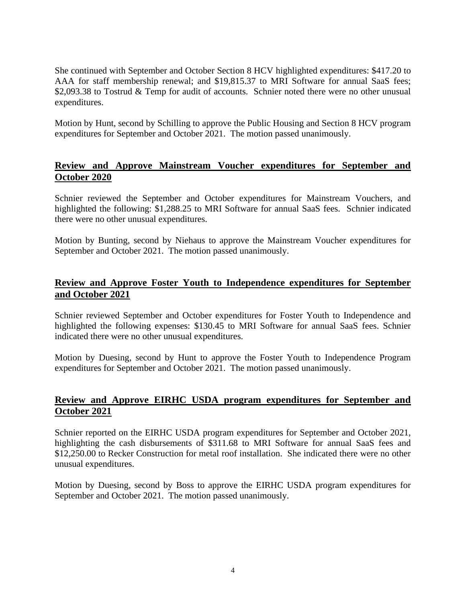She continued with September and October Section 8 HCV highlighted expenditures: \$417.20 to AAA for staff membership renewal; and \$19,815.37 to MRI Software for annual SaaS fees; \$2,093.38 to Tostrud & Temp for audit of accounts. Schnier noted there were no other unusual expenditures.

Motion by Hunt, second by Schilling to approve the Public Housing and Section 8 HCV program expenditures for September and October 2021. The motion passed unanimously.

## **Review and Approve Mainstream Voucher expenditures for September and October 2020**

Schnier reviewed the September and October expenditures for Mainstream Vouchers, and highlighted the following: \$1,288.25 to MRI Software for annual SaaS fees. Schnier indicated there were no other unusual expenditures.

Motion by Bunting, second by Niehaus to approve the Mainstream Voucher expenditures for September and October 2021. The motion passed unanimously.

## **Review and Approve Foster Youth to Independence expenditures for September and October 2021**

Schnier reviewed September and October expenditures for Foster Youth to Independence and highlighted the following expenses: \$130.45 to MRI Software for annual SaaS fees. Schnier indicated there were no other unusual expenditures.

Motion by Duesing, second by Hunt to approve the Foster Youth to Independence Program expenditures for September and October 2021. The motion passed unanimously.

#### **Review and Approve EIRHC USDA program expenditures for September and October 2021**

Schnier reported on the EIRHC USDA program expenditures for September and October 2021, highlighting the cash disbursements of \$311.68 to MRI Software for annual SaaS fees and \$12,250.00 to Recker Construction for metal roof installation. She indicated there were no other unusual expenditures.

Motion by Duesing, second by Boss to approve the EIRHC USDA program expenditures for September and October 2021. The motion passed unanimously.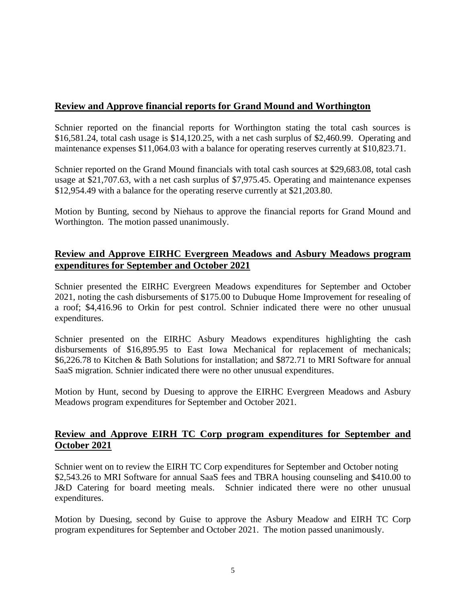## **Review and Approve financial reports for Grand Mound and Worthington**

Schnier reported on the financial reports for Worthington stating the total cash sources is \$16,581.24, total cash usage is \$14,120.25, with a net cash surplus of \$2,460.99. Operating and maintenance expenses \$11,064.03 with a balance for operating reserves currently at \$10,823.71.

Schnier reported on the Grand Mound financials with total cash sources at \$29,683.08, total cash usage at \$21,707.63, with a net cash surplus of \$7,975.45. Operating and maintenance expenses \$12,954.49 with a balance for the operating reserve currently at \$21,203.80.

Motion by Bunting, second by Niehaus to approve the financial reports for Grand Mound and Worthington. The motion passed unanimously.

## **Review and Approve EIRHC Evergreen Meadows and Asbury Meadows program expenditures for September and October 2021**

Schnier presented the EIRHC Evergreen Meadows expenditures for September and October 2021, noting the cash disbursements of \$175.00 to Dubuque Home Improvement for resealing of a roof; \$4,416.96 to Orkin for pest control. Schnier indicated there were no other unusual expenditures.

Schnier presented on the EIRHC Asbury Meadows expenditures highlighting the cash disbursements of \$16,895.95 to East Iowa Mechanical for replacement of mechanicals; \$6,226.78 to Kitchen & Bath Solutions for installation; and \$872.71 to MRI Software for annual SaaS migration. Schnier indicated there were no other unusual expenditures.

Motion by Hunt, second by Duesing to approve the EIRHC Evergreen Meadows and Asbury Meadows program expenditures for September and October 2021.

#### **Review and Approve EIRH TC Corp program expenditures for September and October 2021**

Schnier went on to review the EIRH TC Corp expenditures for September and October noting \$2,543.26 to MRI Software for annual SaaS fees and TBRA housing counseling and \$410.00 to J&D Catering for board meeting meals. Schnier indicated there were no other unusual expenditures.

Motion by Duesing, second by Guise to approve the Asbury Meadow and EIRH TC Corp program expenditures for September and October 2021. The motion passed unanimously.